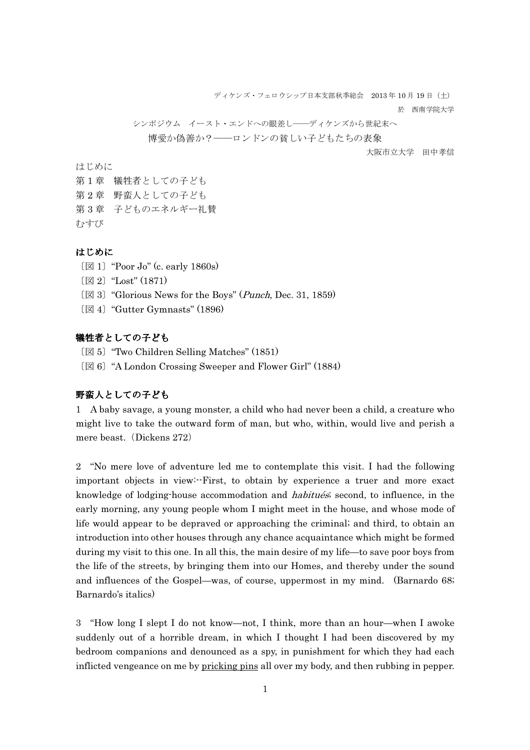ディケンズ・フェロウシップ日本支部秋季総会 2013年10月19日 (十)

於 西南学院大学

シンポジウム イースト・エンドへの眼差し――ディケンズから世紀末へ 博愛か偽善か?––ロンドンの貧しい子どもたちの表象

大阪市立大学 田中孝信

はじめに

- 第1章 犠牲者としての子ども
- 第2章 野蛮人としての子ども
- 第 3 章 子どものエネルギー礼賛

むすび

#### はじめに

- 〔図 1〕"Poor Jo" (c. early 1860s)
- 〔図 2〕"Lost" (1871)
- $\mathbb{Z}$  3] "Glorious News for the Boys" (*Punch*, Dec. 31, 1859)
- 〔図 4〕"Gutter Gymnasts" (1896)

### 犠牲者としての子ども

- 〔図 5〕"Two Children Selling Matches" (1851)
- 〔図 6〕"A London Crossing Sweeper and Flower Girl" (1884)

### 野蛮人としての子ども

1 A baby savage, a young monster, a child who had never been a child, a creature who might live to take the outward form of man, but who, within, would live and perish a mere beast. (Dickens 272)

 2 "No mere love of adventure led me to contemplate this visit. I had the following important objects in view:--First, to obtain by experience a truer and more exact knowledge of lodging-house accommodation and *habitués*; second, to influence, in the early morning, any young people whom I might meet in the house, and whose mode of life would appear to be depraved or approaching the criminal; and third, to obtain an introduction into other houses through any chance acquaintance which might be formed during my visit to this one. In all this, the main desire of my life—to save poor boys from the life of the streets, by bringing them into our Homes, and thereby under the sound and influences of the Gospel—was, of course, uppermost in my mind. (Barnardo 68; Barnardo's italics)

3 "How long I slept I do not know—not, I think, more than an hour—when I awoke suddenly out of a horrible dream, in which I thought I had been discovered by my bedroom companions and denounced as a spy, in punishment for which they had each inflicted vengeance on me by pricking pins all over my body, and then rubbing in pepper.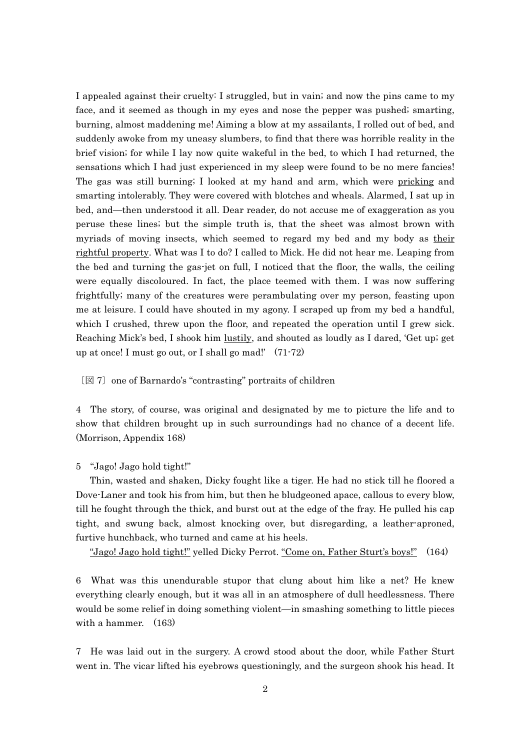I appealed against their cruelty: I struggled, but in vain; and now the pins came to my face, and it seemed as though in my eyes and nose the pepper was pushed; smarting, burning, almost maddening me! Aiming a blow at my assailants, I rolled out of bed, and suddenly awoke from my uneasy slumbers, to find that there was horrible reality in the brief vision; for while I lay now quite wakeful in the bed, to which I had returned, the sensations which I had just experienced in my sleep were found to be no mere fancies! The gas was still burning; I looked at my hand and arm, which were pricking and smarting intolerably. They were covered with blotches and wheals. Alarmed, I sat up in bed, and—then understood it all. Dear reader, do not accuse me of exaggeration as you peruse these lines; but the simple truth is, that the sheet was almost brown with myriads of moving insects, which seemed to regard my bed and my body as their rightful property. What was I to do? I called to Mick. He did not hear me. Leaping from the bed and turning the gas-jet on full, I noticed that the floor, the walls, the ceiling were equally discoloured. In fact, the place teemed with them. I was now suffering frightfully; many of the creatures were perambulating over my person, feasting upon me at leisure. I could have shouted in my agony. I scraped up from my bed a handful, which I crushed, threw upon the floor, and repeated the operation until I grew sick. Reaching Mick's bed, I shook him lustily, and shouted as loudly as I dared, 'Get up; get up at once! I must go out, or I shall go mad!' (71-72)

〔図 7〕one of Barnardo's "contrasting" portraits of children

4 The story, of course, was original and designated by me to picture the life and to show that children brought up in such surroundings had no chance of a decent life. (Morrison, Appendix 168)

5 "Jago! Jago hold tight!"

Thin, wasted and shaken, Dicky fought like a tiger. He had no stick till he floored a Dove-Laner and took his from him, but then he bludgeoned apace, callous to every blow, till he fought through the thick, and burst out at the edge of the fray. He pulled his cap tight, and swung back, almost knocking over, but disregarding, a leather-aproned, furtive hunchback, who turned and came at his heels.

"Jago! Jago hold tight!" yelled Dicky Perrot. "Come on, Father Sturt's boys!" (164)

6 What was this unendurable stupor that clung about him like a net? He knew everything clearly enough, but it was all in an atmosphere of dull heedlessness. There would be some relief in doing something violent—in smashing something to little pieces with a hammer. (163)

7 He was laid out in the surgery. A crowd stood about the door, while Father Sturt went in. The vicar lifted his eyebrows questioningly, and the surgeon shook his head. It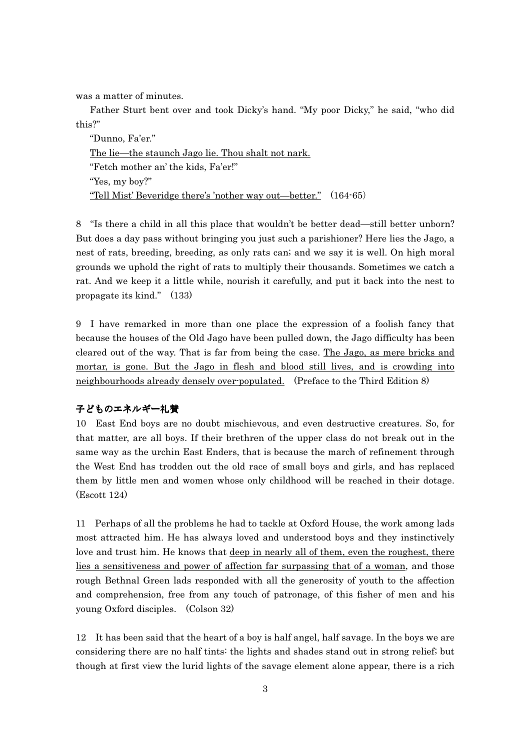was a matter of minutes.

 Father Sturt bent over and took Dicky's hand. "My poor Dicky," he said, "who did this?"

 "Dunno, Fa'er." The lie—the staunch Jago lie. Thou shalt not nark. "Fetch mother an' the kids, Fa'er!" "Yes, my boy?" "Tell Mist' Beveridge there's 'nother way out—better." (164-65)

8 "Is there a child in all this place that wouldn't be better dead—still better unborn? But does a day pass without bringing you just such a parishioner? Here lies the Jago, a nest of rats, breeding, breeding, as only rats can; and we say it is well. On high moral grounds we uphold the right of rats to multiply their thousands. Sometimes we catch a rat. And we keep it a little while, nourish it carefully, and put it back into the nest to propagate its kind." (133)

9 I have remarked in more than one place the expression of a foolish fancy that because the houses of the Old Jago have been pulled down, the Jago difficulty has been cleared out of the way. That is far from being the case. The Jago, as mere bricks and mortar, is gone. But the Jago in flesh and blood still lives, and is crowding into neighbourhoods already densely over-populated. (Preface to the Third Edition 8)

# 子どものエネルギー礼賛

10 East End boys are no doubt mischievous, and even destructive creatures. So, for that matter, are all boys. If their brethren of the upper class do not break out in the same way as the urchin East Enders, that is because the march of refinement through the West End has trodden out the old race of small boys and girls, and has replaced them by little men and women whose only childhood will be reached in their dotage. (Escott 124)

11 Perhaps of all the problems he had to tackle at Oxford House, the work among lads most attracted him. He has always loved and understood boys and they instinctively love and trust him. He knows that deep in nearly all of them, even the roughest, there lies a sensitiveness and power of affection far surpassing that of a woman, and those rough Bethnal Green lads responded with all the generosity of youth to the affection and comprehension, free from any touch of patronage, of this fisher of men and his young Oxford disciples. (Colson 32)

12 It has been said that the heart of a boy is half angel, half savage. In the boys we are considering there are no half tints: the lights and shades stand out in strong relief; but though at first view the lurid lights of the savage element alone appear, there is a rich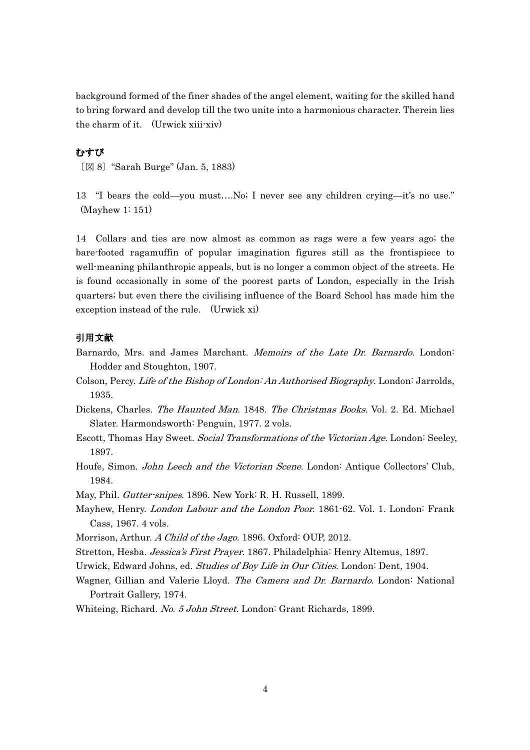background formed of the finer shades of the angel element, waiting for the skilled hand to bring forward and develop till the two unite into a harmonious character. Therein lies the charm of it. (Urwick xiii-xiv)

# むすび

〔図 8〕"Sarah Burge" (Jan. 5, 1883)

13 "I bears the cold—you must….No; I never see any children crying—it's no use." (Mayhew 1: 151)

14 Collars and ties are now almost as common as rags were a few years ago; the bare-footed ragamuffin of popular imagination figures still as the frontispiece to well-meaning philanthropic appeals, but is no longer a common object of the streets. He is found occasionally in some of the poorest parts of London, especially in the Irish quarters; but even there the civilising influence of the Board School has made him the exception instead of the rule. (Urwick xi)

#### 引用文献

- Barnardo, Mrs. and James Marchant. Memoirs of the Late Dr. Barnardo. London: Hodder and Stoughton, 1907.
- Colson, Percy. Life of the Bishop of London: An Authorised Biography. London: Jarrolds, 1935.

Dickens, Charles. The Haunted Man. 1848. The Christmas Books. Vol. 2. Ed. Michael Slater. Harmondsworth: Penguin, 1977. 2 vols.

- Escott, Thomas Hay Sweet. Social Transformations of the Victorian Age. London: Seeley, 1897.
- Houfe, Simon. *John Leech and the Victorian Scene*. London: Antique Collectors' Club, 1984.

May, Phil. Gutter-snipes. 1896. New York: R. H. Russell, 1899.

- Mayhew, Henry. London Labour and the London Poor. 1861-62. Vol. 1. London: Frank Cass, 1967. 4 vols.
- Morrison, Arthur. A Child of the Jago. 1896. Oxford: OUP, 2012.
- Stretton, Hesba. Jessica's First Prayer. 1867. Philadelphia: Henry Altemus, 1897.
- Urwick, Edward Johns, ed. Studies of Boy Life in Our Cities. London: Dent, 1904.
- Wagner, Gillian and Valerie Lloyd. The Camera and Dr. Barnardo. London: National Portrait Gallery, 1974.

Whiteing, Richard. No. 5 John Street. London: Grant Richards, 1899.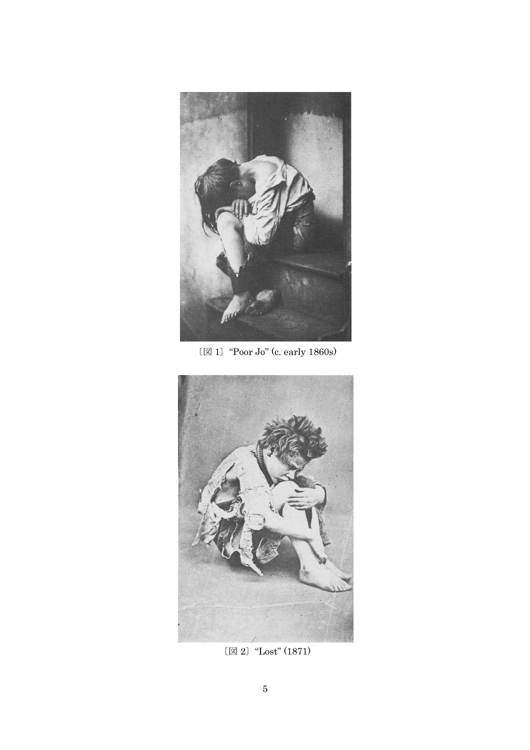

 $\mathbb{Z}$  1) "Poor Jo" (c. early 1860s)



〔図 2〕"Lost" (1871)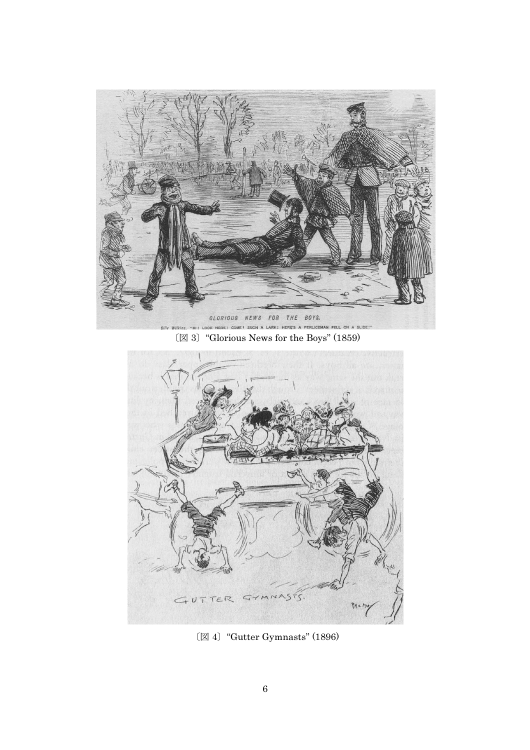

HI! LO 〔図 3〕"Glorious News for the Boys" (1859)



〔図 4〕"Gutter Gymnasts" (1896)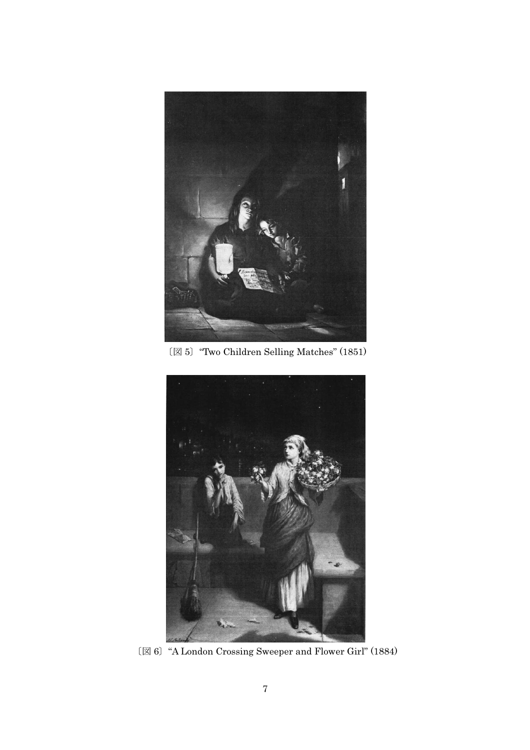

〔図 5〕"Two Children Selling Matches" (1851)



〔図 6〕"A London Crossing Sweeper and Flower Girl" (1884)